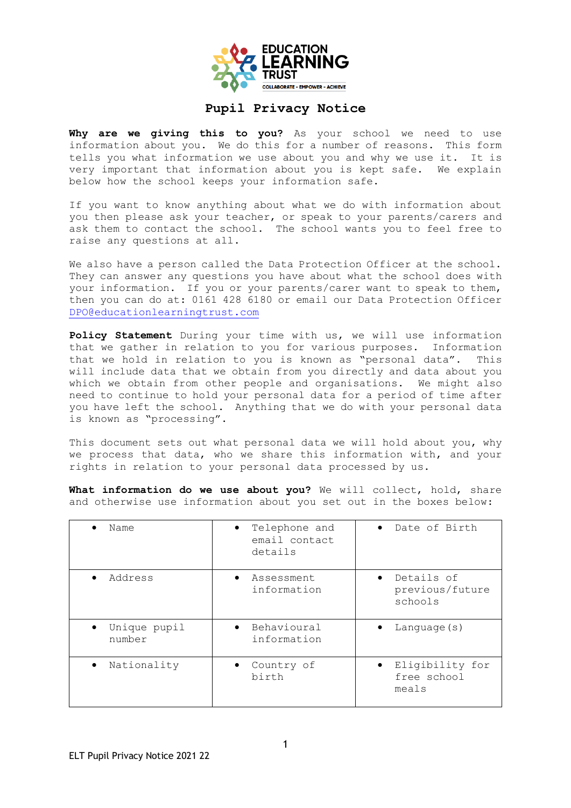

## **Pupil Privacy Notice**

Why are we giving this to you? As your school we need to use information about you. We do this for a number of reasons. This form tells you what information we use about you and why we use it. It is very important that information about you is kept safe. We explain below how the school keeps your information safe.

If you want to know anything about what we do with information about you then please ask your teacher, or speak to your parents/carers and ask them to contact the school. The school wants you to feel free to raise any questions at all.

We also have a person called the Data Protection Officer at the school. They can answer any questions you have about what the school does with your information. If you or your parents/carer want to speak to them, then you can do at: 0161 428 6180 or email our Data Protection Officer [DPO@educationlearningtrust.com](mailto:DPO@educationlearningtrust.com)

**Policy Statement** During your time with us, we will use information that we gather in relation to you for various purposes. Information that we hold in relation to you is known as "personal data". This will include data that we obtain from you directly and data about you which we obtain from other people and organisations. We might also need to continue to hold your personal data for a period of time after you have left the school. Anything that we do with your personal data is known as "processing".

This document sets out what personal data we will hold about you, why we process that data, who we share this information with, and your rights in relation to your personal data processed by us.

**What information do we use about you?** We will collect, hold, share and otherwise use information about you set out in the boxes below:

| Name                                | Telephone and<br>email contact<br>details | • Date of Birth                          |
|-------------------------------------|-------------------------------------------|------------------------------------------|
| Address                             | Assessment<br>information                 | Details of<br>previous/future<br>schools |
| Unique pupil<br>$\bullet$<br>number | Behavioural<br>$\bullet$<br>information   | Language $(s)$                           |
| Nationality<br>٠                    | Country of<br>birth                       | Eligibility for<br>free school<br>meals  |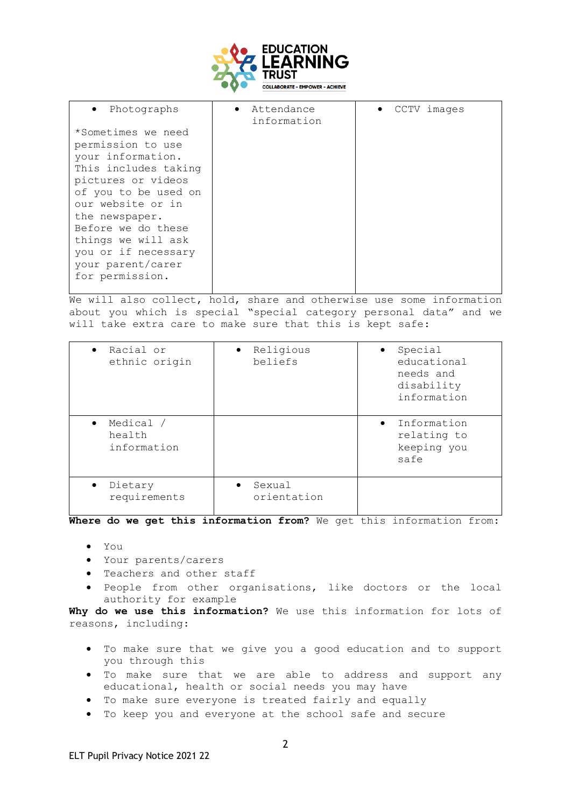

| • Photographs                                                                                                                                                             | • Attendance<br>information | • CCTV images |
|---------------------------------------------------------------------------------------------------------------------------------------------------------------------------|-----------------------------|---------------|
| *Sometimes we need<br>permission to use<br>your information.<br>This includes taking<br>pictures or videos<br>of you to be used on<br>our website or in<br>the newspaper. |                             |               |
| Before we do these<br>things we will ask<br>you or if necessary<br>your parent/carer<br>for permission.                                                                   |                             |               |

We will also collect, hold, share and otherwise use some information about you which is special "special category personal data" and we will take extra care to make sure that this is kept safe:

| Racial or<br>$\bullet$<br>ethnic origin         | • Religious<br>beliefs             | Special<br>educational<br>needs and<br>disability<br>information |
|-------------------------------------------------|------------------------------------|------------------------------------------------------------------|
| Medical /<br>$\bullet$<br>health<br>information |                                    | Information<br>relating to<br>keeping you<br>safe                |
| Dietary<br>$\bullet$<br>requirements            | Sexual<br>$\bullet$<br>orientation |                                                                  |

**Where do we get this information from?** We get this information from:

- You
- Your parents/carers
- Teachers and other staff
- People from other organisations, like doctors or the local authority for example

**Why do we use this information?** We use this information for lots of reasons, including:

- To make sure that we give you a good education and to support you through this
- To make sure that we are able to address and support any educational, health or social needs you may have
- To make sure everyone is treated fairly and equally
- To keep you and everyone at the school safe and secure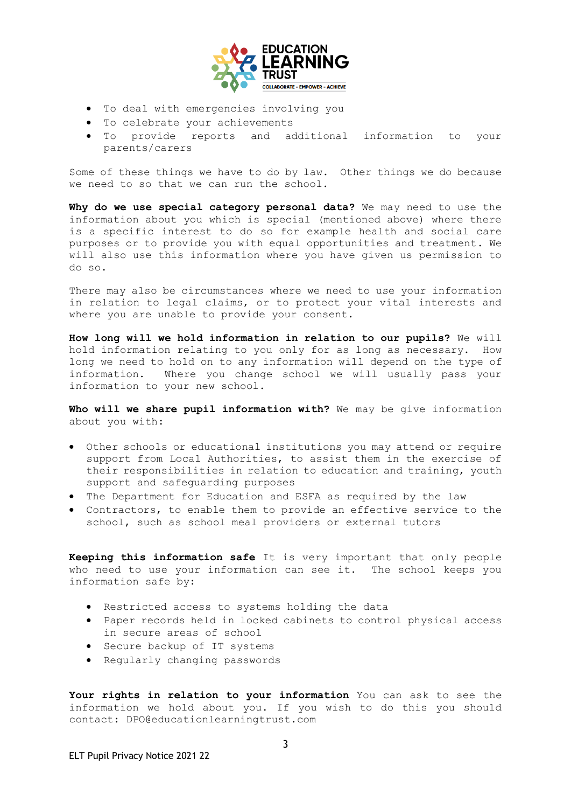

- To deal with emergencies involving you
- To celebrate your achievements
- To provide reports and additional information to your parents/carers

Some of these things we have to do by law. Other things we do because we need to so that we can run the school.

**Why do we use special category personal data?** We may need to use the information about you which is special (mentioned above) where there is a specific interest to do so for example health and social care purposes or to provide you with equal opportunities and treatment. We will also use this information where you have given us permission to do so.

There may also be circumstances where we need to use your information in relation to legal claims, or to protect your vital interests and where you are unable to provide your consent.

**How long will we hold information in relation to our pupils?** We will hold information relating to you only for as long as necessary. How long we need to hold on to any information will depend on the type of information. Where you change school we will usually pass your information to your new school.

**Who will we share pupil information with?** We may be give information about you with:

- Other schools or educational institutions you may attend or require support from Local Authorities, to assist them in the exercise of their responsibilities in relation to education and training, youth support and safeguarding purposes
- The Department for Education and ESFA as required by the law
- Contractors, to enable them to provide an effective service to the school, such as school meal providers or external tutors

**Keeping this information safe** It is very important that only people who need to use your information can see it. The school keeps you information safe by:

- Restricted access to systems holding the data
- Paper records held in locked cabinets to control physical access in secure areas of school
- Secure backup of IT systems
- Regularly changing passwords

**Your rights in relation to your information** You can ask to see the information we hold about you. If you wish to do this you should contact: DPO@educationlearningtrust.com